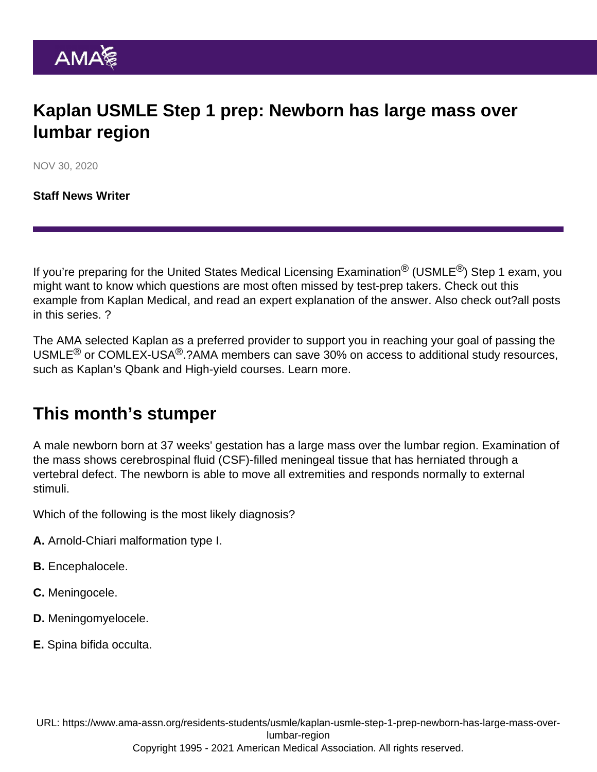# Kaplan USMLE Step 1 prep: Newborn has large mass over lumbar region

NOV 30, 2020

[Staff News Writer](https://www.ama-assn.org/news-leadership-viewpoints/authors-news-leadership-viewpoints/staff-news-writer)

If you're preparing for the United States Medical Licensing Examination<sup>®</sup> (USMLE<sup>®</sup>) Step 1 exam, you might want to know which questions are most often missed by test-prep takers. Check out this example from Kaplan Medical, and read an expert explanation of the answer. Also check out?[all posts](https://www.ama-assn.org/residents-students/usmle) [in this series.](https://www.ama-assn.org/residents-students/usmle) ?

The AMA selected Kaplan as a preferred provider to support you in reaching your goal of passing the USMLE<sup>®</sup> or COMLEX-USA<sup>®</sup>.?AMA members can save 30% on access to additional study resources, such as Kaplan's Qbank and High-yield courses. [Learn more.](https://www.ama-assn.org/ama-member-benefits/individual-member-benefits/educational-student-discounts)

## This month's stumper

A male newborn born at 37 weeks' gestation has a large mass over the lumbar region. Examination of the mass shows cerebrospinal fluid (CSF)-filled meningeal tissue that has herniated through a vertebral defect. The newborn is able to move all extremities and responds normally to external stimuli.

Which of the following is the most likely diagnosis?

- A. Arnold-Chiari malformation type I.
- B. Encephalocele.
- C. Meningocele.
- D. Meningomyelocele.
- E. Spina bifida occulta.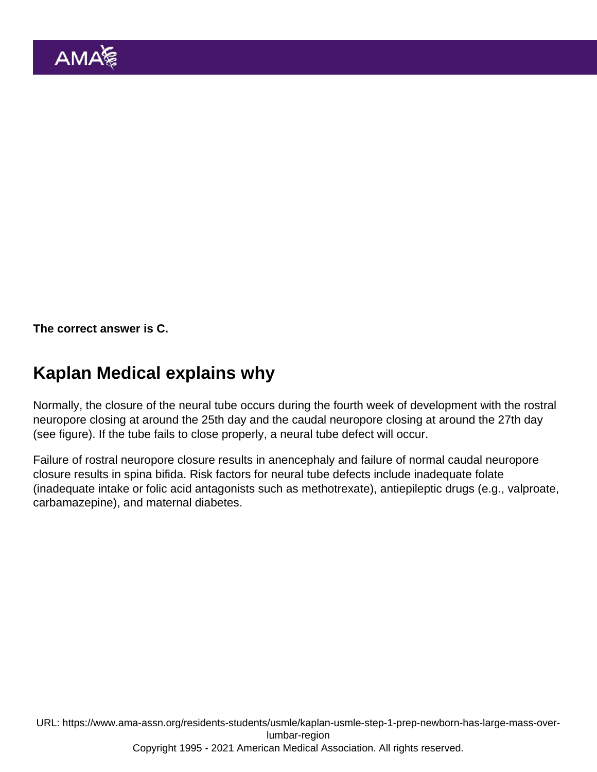The correct answer is C.

## Kaplan Medical explains why

Normally, the closure of the neural tube occurs during the fourth week of development with the rostral neuropore closing at around the 25th day and the caudal neuropore closing at around the 27th day (see figure). If the tube fails to close properly, a neural tube defect will occur.

Failure of rostral neuropore closure results in anencephaly and failure of normal caudal neuropore closure results in spina bifida. Risk factors for neural tube defects include inadequate folate (inadequate intake or folic acid antagonists such as methotrexate), antiepileptic drugs (e.g., valproate, carbamazepine), and maternal diabetes.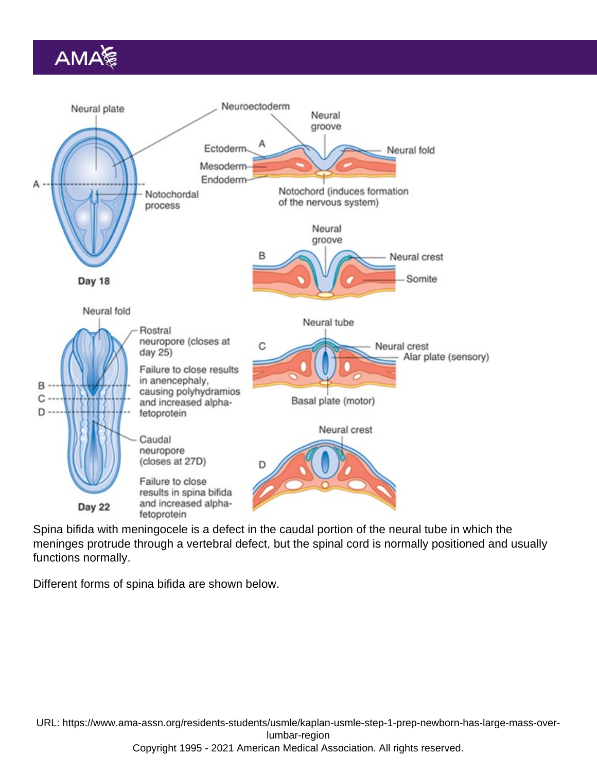Spina bifida with meningocele is a defect in the caudal portion of the neural tube in which the meninges protrude through a vertebral defect, but the spinal cord is normally positioned and usually functions normally.

Different forms of spina bifida are shown below.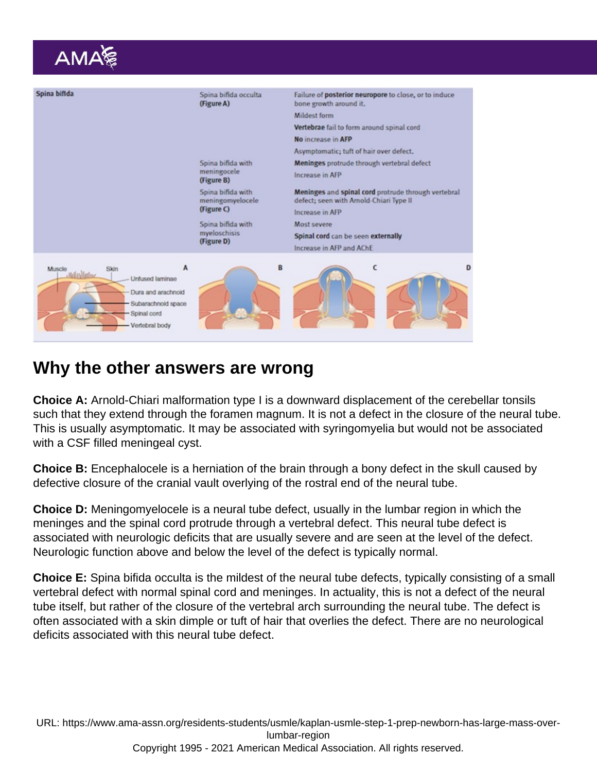### Why the other answers are wrong

Choice A: Arnold-Chiari malformation type I is a downward displacement of the cerebellar tonsils such that they extend through the foramen magnum. It is not a defect in the closure of the neural tube. This is usually asymptomatic. It may be associated with syringomyelia but would not be associated with a CSF filled meningeal cyst.

Choice B: Encephalocele is a herniation of the brain through a bony defect in the skull caused by defective closure of the cranial vault overlying of the rostral end of the neural tube.

Choice D: Meningomyelocele is a neural tube defect, usually in the lumbar region in which the meninges and the spinal cord protrude through a vertebral defect. This neural tube defect is associated with neurologic deficits that are usually severe and are seen at the level of the defect. Neurologic function above and below the level of the defect is typically normal.

Choice E: Spina bifida occulta is the mildest of the neural tube defects, typically consisting of a small vertebral defect with normal spinal cord and meninges. In actuality, this is not a defect of the neural tube itself, but rather of the closure of the vertebral arch surrounding the neural tube. The defect is often associated with a skin dimple or tuft of hair that overlies the defect. There are no neurological deficits associated with this neural tube defect.